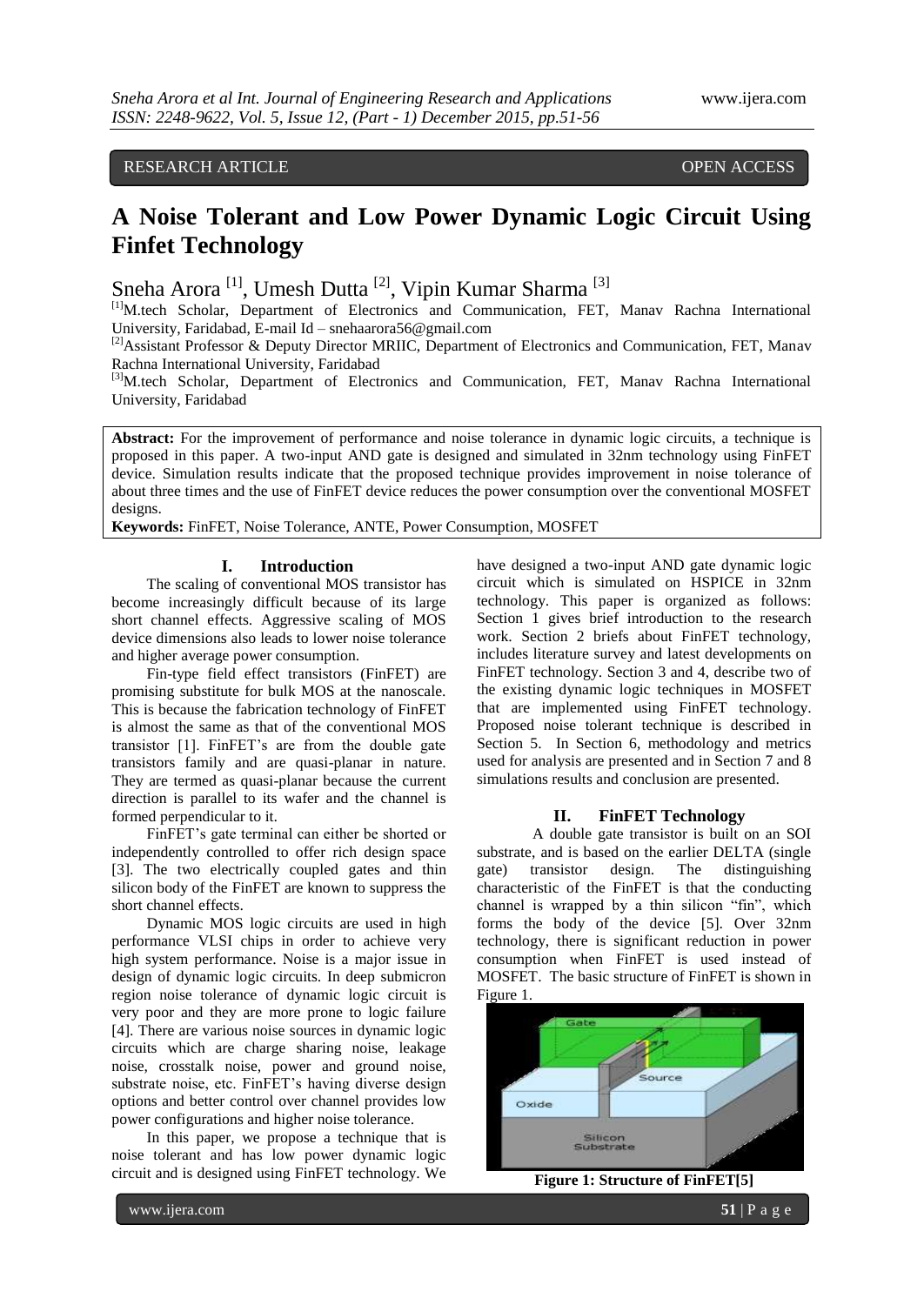# RESEARCH ARTICLE OPEN ACCESS

# **A Noise Tolerant and Low Power Dynamic Logic Circuit Using Finfet Technology**

Sneha Arora<sup>[1]</sup>, Umesh Dutta<sup>[2]</sup>, Vipin Kumar Sharma<sup>[3]</sup>

[1]M.tech Scholar, Department of Electronics and Communication, FET, Manav Rachna International University, Faridabad, E-mail Id – snehaarora56@gmail.com

<sup>[2]</sup>Assistant Professor & Deputy Director MRIIC, Department of Electronics and Communication, FET, Manav Rachna International University, Faridabad

[3]M.tech Scholar, Department of Electronics and Communication, FET, Manav Rachna International University, Faridabad

**Abstract:** For the improvement of performance and noise tolerance in dynamic logic circuits, a technique is proposed in this paper. A two-input AND gate is designed and simulated in 32nm technology using FinFET device. Simulation results indicate that the proposed technique provides improvement in noise tolerance of about three times and the use of FinFET device reduces the power consumption over the conventional MOSFET designs

**Keywords:** FinFET, Noise Tolerance, ANTE, Power Consumption, MOSFET

#### **I. Introduction**

The scaling of conventional MOS transistor has become increasingly difficult because of its large short channel effects. Aggressive scaling of MOS device dimensions also leads to lower noise tolerance and higher average power consumption.

Fin-type field effect transistors (FinFET) are promising substitute for bulk MOS at the nanoscale. This is because the fabrication technology of FinFET is almost the same as that of the conventional MOS transistor [1]. FinFET's are from the double gate transistors family and are quasi-planar in nature. They are termed as quasi-planar because the current direction is parallel to its wafer and the channel is formed perpendicular to it.

FinFET's gate terminal can either be shorted or independently controlled to offer rich design space [3]. The two electrically coupled gates and thin silicon body of the FinFET are known to suppress the short channel effects.

Dynamic MOS logic circuits are used in high performance VLSI chips in order to achieve very high system performance. Noise is a major issue in design of dynamic logic circuits. In deep submicron region noise tolerance of dynamic logic circuit is very poor and they are more prone to logic failure [4]. There are various noise sources in dynamic logic circuits which are charge sharing noise, leakage noise, crosstalk noise, power and ground noise, substrate noise, etc. FinFET's having diverse design options and better control over channel provides low power configurations and higher noise tolerance.

In this paper, we propose a technique that is noise tolerant and has low power dynamic logic circuit and is designed using FinFET technology. We

have designed a two-input AND gate dynamic logic circuit which is simulated on HSPICE in 32nm technology. This paper is organized as follows: Section 1 gives brief introduction to the research work. Section 2 briefs about FinFET technology, includes literature survey and latest developments on FinFET technology. Section 3 and 4, describe two of the existing dynamic logic techniques in MOSFET that are implemented using FinFET technology. Proposed noise tolerant technique is described in Section 5. In Section 6, methodology and metrics used for analysis are presented and in Section 7 and 8 simulations results and conclusion are presented.

#### **II. FinFET Technology**

A double gate transistor is built on an SOI substrate, and is based on the earlier DELTA (single gate) transistor design. The distinguishing characteristic of the FinFET is that the conducting channel is wrapped by a thin silicon "fin", which forms the body of the device [5]. Over 32nm technology, there is significant reduction in power consumption when FinFET is used instead of MOSFET. The basic structure of FinFET is shown in Figure 1.



**Figure 1: Structure of FinFET[5]**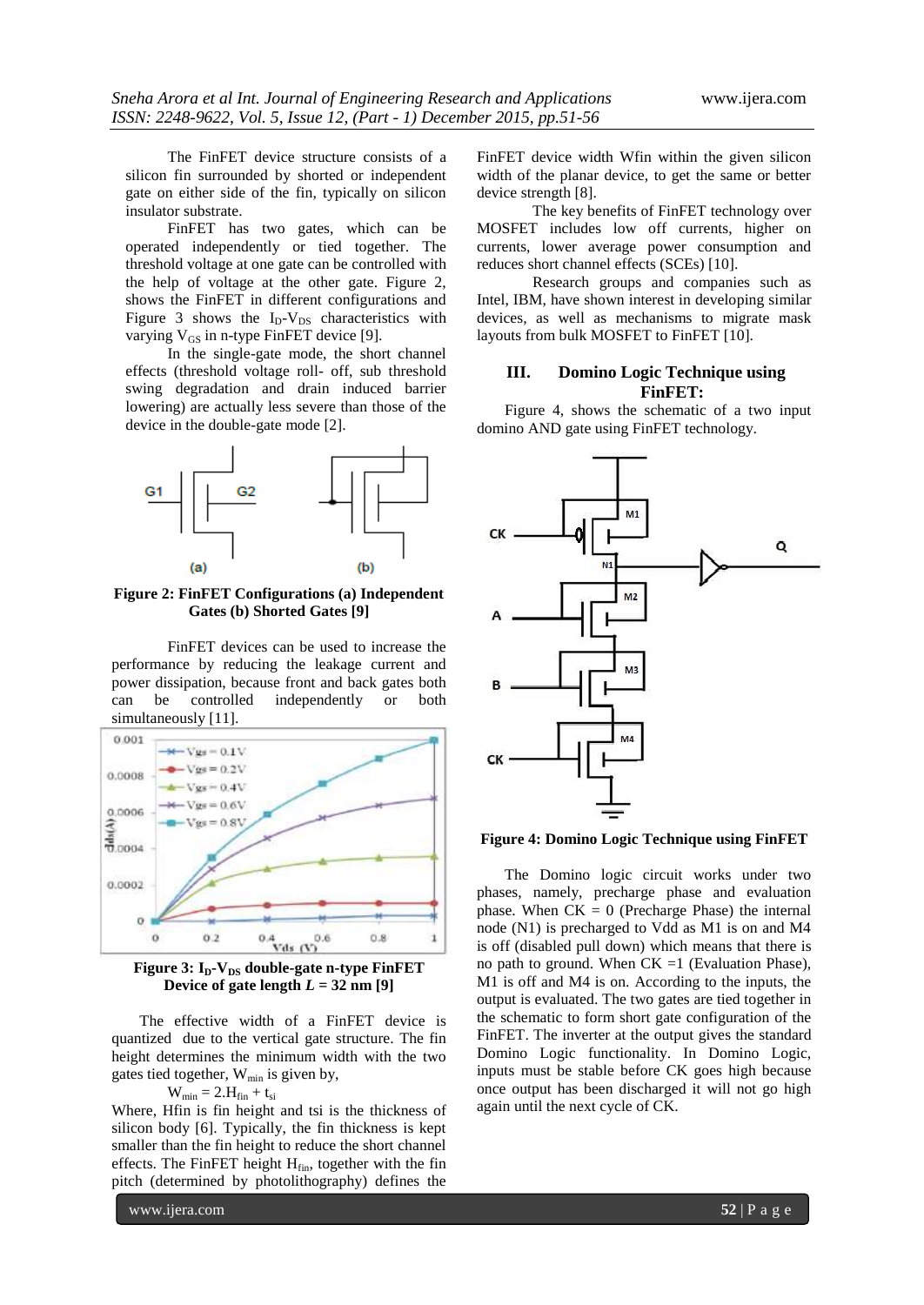The FinFET device structure consists of a silicon fin surrounded by shorted or independent gate on either side of the fin, typically on silicon insulator substrate.

FinFET has two gates, which can be operated independently or tied together. The threshold voltage at one gate can be controlled with the help of voltage at the other gate. Figure 2, shows the FinFET in different configurations and Figure 3 shows the  $I_D-V_{DS}$  characteristics with varying  $V_{GS}$  in n-type FinFET device [9].

In the single-gate mode, the short channel effects (threshold voltage roll- off, sub threshold swing degradation and drain induced barrier lowering) are actually less severe than those of the device in the double-gate mode [2].



**Figure 2: FinFET Configurations (a) Independent Gates (b) Shorted Gates [9]**

FinFET devices can be used to increase the performance by reducing the leakage current and power dissipation, because front and back gates both can be controlled independently or both simultaneously [11].



**Figure 3: ID-VDS double-gate n-type FinFET Device** of gate length  $L = 32$  nm [9]

The effective width of a FinFET device is quantized due to the vertical gate structure. The fin height determines the minimum width with the two gates tied together, Wmin is given by,

$$
W_{min}=2.H_{fin}+t_{si}\,\,
$$

Where, Hfin is fin height and tsi is the thickness of silicon body [6]. Typically, the fin thickness is kept smaller than the fin height to reduce the short channel effects. The FinFET height  $H<sub>fin</sub>$ , together with the fin pitch (determined by photolithography) defines the

FinFET device width Wfin within the given silicon width of the planar device, to get the same or better device strength [8].

The key benefits of FinFET technology over MOSFET includes low off currents, higher on currents, lower average power consumption and reduces short channel effects (SCEs) [10].

Research groups and companies such as Intel, IBM, have shown interest in developing similar devices, as well as mechanisms to migrate mask layouts from bulk MOSFET to FinFET [10].

# **III. Domino Logic Technique using FinFET:**

Figure 4, shows the schematic of a two input domino AND gate using FinFET technology.



## **Figure 4: Domino Logic Technique using FinFET**

The Domino logic circuit works under two phases, namely, precharge phase and evaluation phase. When  $CK = 0$  (Precharge Phase) the internal node (N1) is precharged to Vdd as M1 is on and M4 is off (disabled pull down) which means that there is no path to ground. When  $CK = 1$  (Evaluation Phase), M1 is off and M4 is on. According to the inputs, the output is evaluated. The two gates are tied together in the schematic to form short gate configuration of the FinFET. The inverter at the output gives the standard Domino Logic functionality. In Domino Logic, inputs must be stable before CK goes high because once output has been discharged it will not go high again until the next cycle of CK.

www.ijera.com **52** | P a g e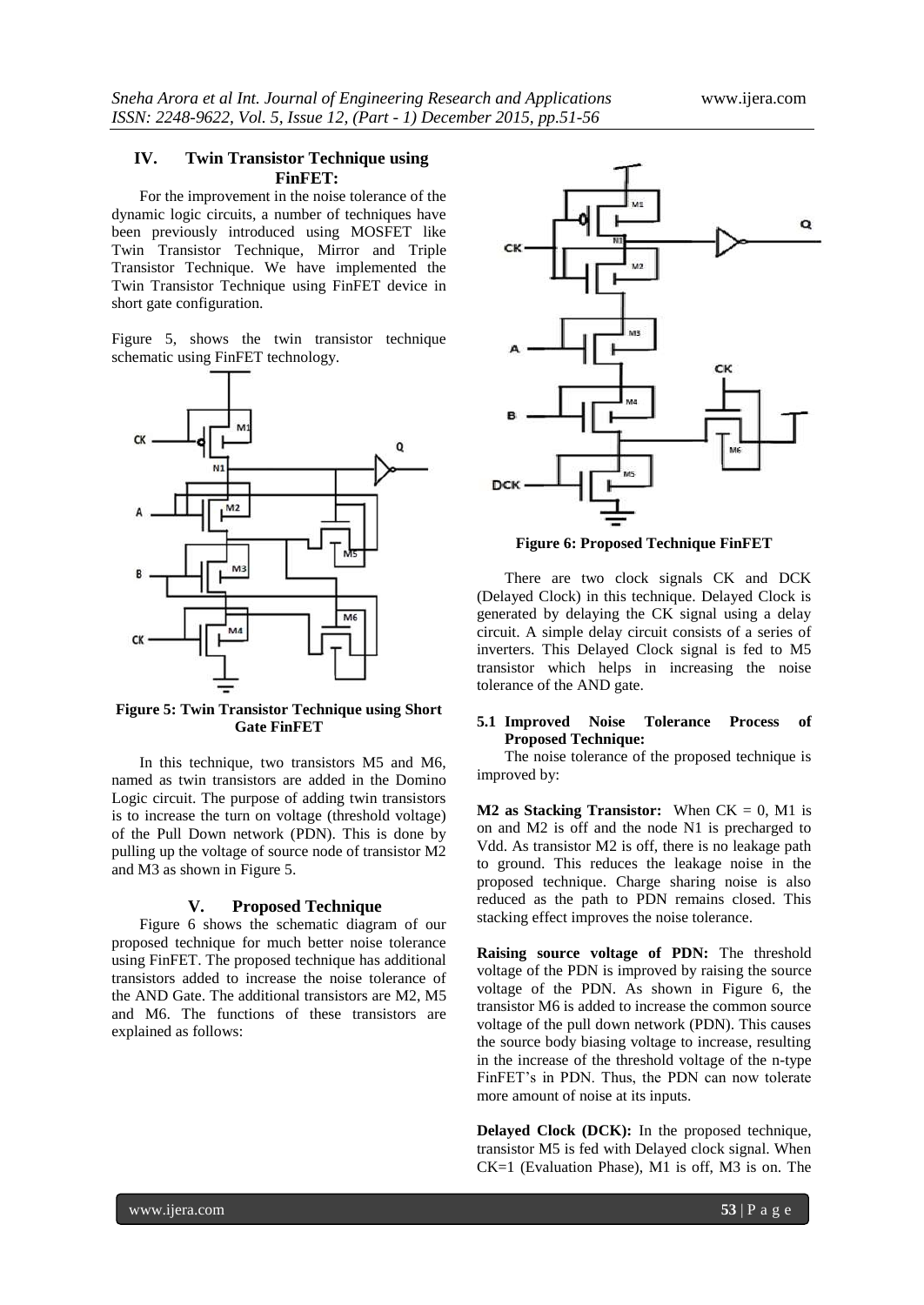# **IV. Twin Transistor Technique using FinFET:**

For the improvement in the noise tolerance of the dynamic logic circuits, a number of techniques have been previously introduced using MOSFET like Twin Transistor Technique, Mirror and Triple Transistor Technique. We have implemented the Twin Transistor Technique using FinFET device in short gate configuration.

Figure 5, shows the twin transistor technique schematic using FinFET technology.



**Figure 5: Twin Transistor Technique using Short Gate FinFET**

In this technique, two transistors M5 and M6, named as twin transistors are added in the Domino Logic circuit. The purpose of adding twin transistors is to increase the turn on voltage (threshold voltage) of the Pull Down network (PDN). This is done by pulling up the voltage of source node of transistor M2 and M3 as shown in Figure 5.

#### **V. Proposed Technique**

Figure 6 shows the schematic diagram of our proposed technique for much better noise tolerance using FinFET. The proposed technique has additional transistors added to increase the noise tolerance of the AND Gate. The additional transistors are M2, M5 and M6. The functions of these transistors are explained as follows:



**Figure 6: Proposed Technique FinFET**

There are two clock signals CK and DCK (Delayed Clock) in this technique. Delayed Clock is generated by delaying the CK signal using a delay circuit. A simple delay circuit consists of a series of inverters. This Delayed Clock signal is fed to M5 transistor which helps in increasing the noise tolerance of the AND gate.

#### **5.1 Improved Noise Tolerance Process of Proposed Technique:**

The noise tolerance of the proposed technique is improved by:

**M2 as Stacking Transistor:** When  $CK = 0$ , M1 is on and M2 is off and the node N1 is precharged to Vdd. As transistor M2 is off, there is no leakage path to ground. This reduces the leakage noise in the proposed technique. Charge sharing noise is also reduced as the path to PDN remains closed. This stacking effect improves the noise tolerance.

**Raising source voltage of PDN:** The threshold voltage of the PDN is improved by raising the source voltage of the PDN. As shown in Figure 6, the transistor M6 is added to increase the common source voltage of the pull down network (PDN). This causes the source body biasing voltage to increase, resulting in the increase of the threshold voltage of the n-type FinFET's in PDN. Thus, the PDN can now tolerate more amount of noise at its inputs.

**Delayed Clock (DCK):** In the proposed technique, transistor M5 is fed with Delayed clock signal. When CK=1 (Evaluation Phase), M1 is off, M3 is on. The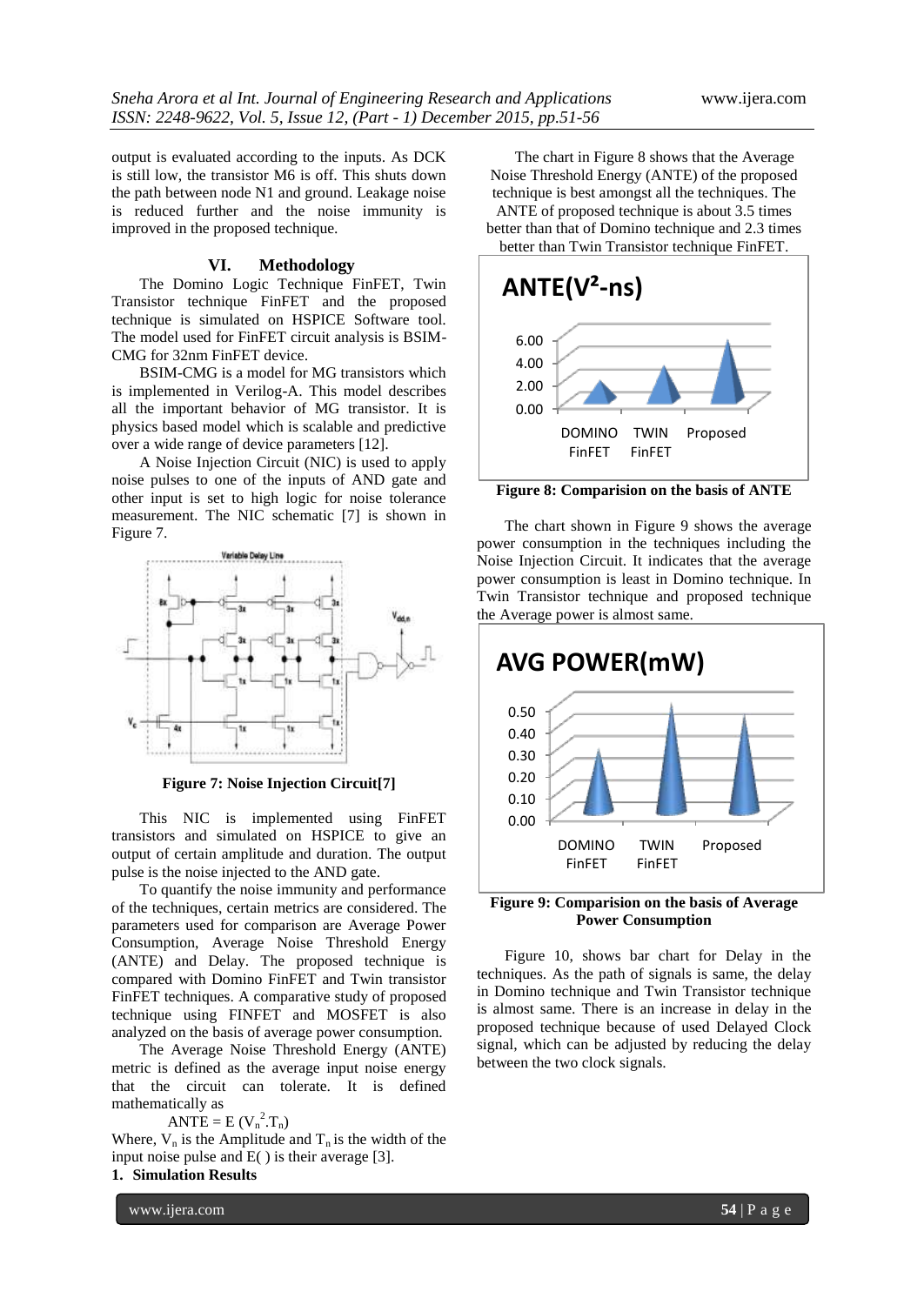output is evaluated according to the inputs. As DCK is still low, the transistor M6 is off. This shuts down the path between node N1 and ground. Leakage noise is reduced further and the noise immunity is improved in the proposed technique.

#### **VI. Methodology**

The Domino Logic Technique FinFET, Twin Transistor technique FinFET and the proposed technique is simulated on HSPICE Software tool. The model used for FinFET circuit analysis is BSIM-CMG for 32nm FinFET device.

BSIM-CMG is a model for MG transistors which is implemented in Verilog-A. This model describes all the important behavior of MG transistor. It is physics based model which is scalable and predictive over a wide range of device parameters [12].

A Noise Injection Circuit (NIC) is used to apply noise pulses to one of the inputs of AND gate and other input is set to high logic for noise tolerance measurement. The NIC schematic [7] is shown in Figure 7.



**Figure 7: Noise Injection Circuit[7]**

This NIC is implemented using FinFET transistors and simulated on HSPICE to give an output of certain amplitude and duration. The output pulse is the noise injected to the AND gate.

To quantify the noise immunity and performance of the techniques, certain metrics are considered. The parameters used for comparison are Average Power Consumption, Average Noise Threshold Energy (ANTE) and Delay. The proposed technique is compared with Domino FinFET and Twin transistor FinFET techniques. A comparative study of proposed technique using FINFET and MOSFET is also analyzed on the basis of average power consumption.

The Average Noise Threshold Energy (ANTE) metric is defined as the average input noise energy that the circuit can tolerate. It is defined mathematically as

 $\angle$ ANTE = E (V<sub>n</sub><sup>2</sup>.T<sub>n</sub>)

Where,  $V_n$  is the Amplitude and  $T_n$  is the width of the input noise pulse and E( ) is their average [3].

# **1. Simulation Results**

www.ijera.com **54** | P a g e

The chart in Figure 8 shows that the Average Noise Threshold Energy (ANTE) of the proposed technique is best amongst all the techniques. The ANTE of proposed technique is about 3.5 times better than that of Domino technique and 2.3 times better than Twin Transistor technique FinFET.



**Figure 8: Comparision on the basis of ANTE**

The chart shown in Figure 9 shows the average power consumption in the techniques including the Noise Injection Circuit. It indicates that the average power consumption is least in Domino technique. In Twin Transistor technique and proposed technique the Average power is almost same.



**Figure 9: Comparision on the basis of Average Power Consumption**

Figure 10, shows bar chart for Delay in the techniques. As the path of signals is same, the delay in Domino technique and Twin Transistor technique is almost same. There is an increase in delay in the proposed technique because of used Delayed Clock signal, which can be adjusted by reducing the delay between the two clock signals.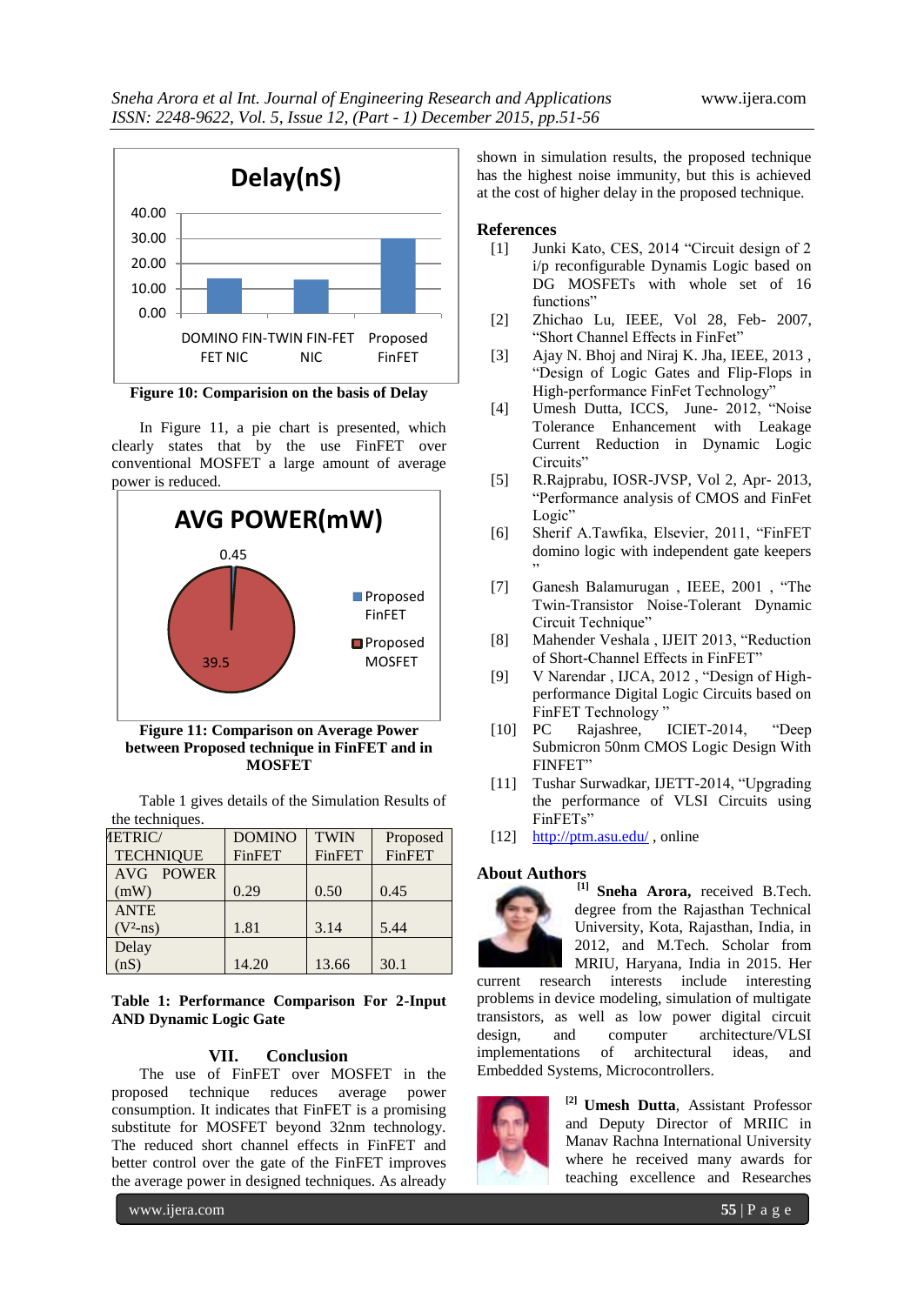

**Figure 10: Comparision on the basis of Delay**

In Figure 11, a pie chart is presented, which clearly states that by the use FinFET over conventional MOSFET a large amount of average power is reduced.



**Figure 11: Comparison on Average Power between Proposed technique in FinFET and in MOSFET**

Table 1 gives details of the Simulation Results of the techniques.

| <b>IETRIC/</b>   | <b>DOMINO</b> | <b>TWIN</b>   | Proposed      |
|------------------|---------------|---------------|---------------|
| <b>TECHNIQUE</b> | <b>FinFET</b> | <b>FinFET</b> | <b>FinFET</b> |
| AVG POWER        |               |               |               |
| (mW)             | 0.29          | 0.50          | 0.45          |
| <b>ANTE</b>      |               |               |               |
| $(V^2-ns)$       | 1.81          | 3.14          | 5.44          |
| Delay            |               |               |               |
| (nS)             | 14.20         | 13.66         | 30.1          |

**Table 1: Performance Comparison For 2-Input AND Dynamic Logic Gate**

# **VII. Conclusion**

The use of FinFET over MOSFET in the proposed technique reduces average power consumption. It indicates that FinFET is a promising substitute for MOSFET beyond 32nm technology. The reduced short channel effects in FinFET and better control over the gate of the FinFET improves the average power in designed techniques. As already

shown in simulation results, the proposed technique has the highest noise immunity, but this is achieved at the cost of higher delay in the proposed technique.

## **References**

- [1] Junki Kato, CES, 2014 "Circuit design of 2 i/p reconfigurable Dynamis Logic based on DG MOSFETs with whole set of 16 functions"
- [2] Zhichao Lu, IEEE, Vol 28, Feb- 2007, "Short Channel Effects in FinFet"
- [3] Ajay N. Bhoj and Niraj K. Jha, IEEE, 2013 , "Design of Logic Gates and Flip-Flops in High-performance FinFet Technology"
- [4] Umesh Dutta, ICCS, June- 2012, "Noise Tolerance Enhancement with Leakage Current Reduction in Dynamic Logic Circuits"
- [5] R.Rajprabu, IOSR-JVSP, Vol 2, Apr- 2013, "Performance analysis of CMOS and FinFet Logic"
- [6] Sherif A.Tawfika, Elsevier, 2011, "FinFET domino logic with independent gate keepers "
- [7] Ganesh Balamurugan , IEEE, 2001 , "The Twin-Transistor Noise-Tolerant Dynamic Circuit Technique"
- [8] Mahender Veshala , IJEIT 2013, "Reduction of Short-Channel Effects in FinFET"
- [9] V Narendar , IJCA, 2012 , "Design of Highperformance Digital Logic Circuits based on FinFET Technology "
- [10] PC Rajashree, ICIET-2014, "Deep Submicron 50nm CMOS Logic Design With FINFET"
- [11] Tushar Surwadkar, IJETT-2014, "Upgrading the performance of VLSI Circuits using FinFETs"
- [12] <http://ptm.asu.edu/>, online

#### **About Authors**



**[1] Sneha Arora,** received B.Tech. degree from the Rajasthan Technical University, Kota, Rajasthan, India, in 2012, and M.Tech. Scholar from MRIU, Haryana, India in 2015. Her

current research interests include interesting problems in device modeling, simulation of multigate transistors, as well as low power digital circuit design, and computer architecture/VLSI implementations of architectural ideas, and Embedded Systems, Microcontrollers.



**[2] Umesh Dutta**, Assistant Professor and Deputy Director of MRIIC in Manav Rachna International University where he received many awards for teaching excellence and Researches